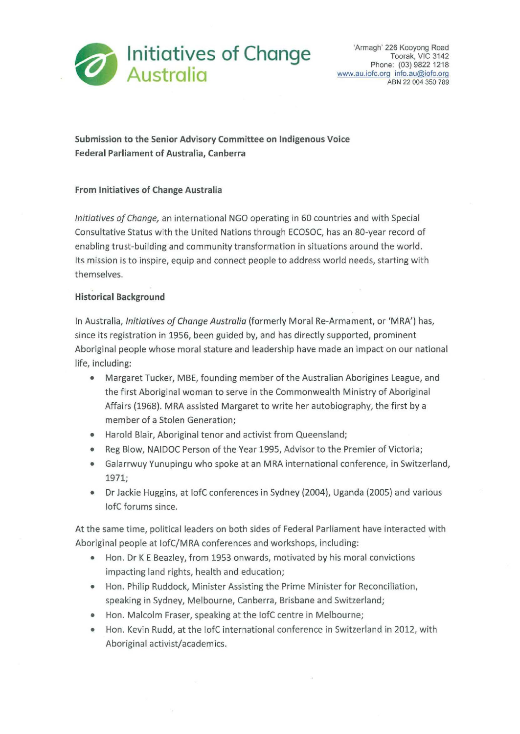

**Submission to the Senior Advisory Committee on Indigenous Voice Federal Parliament of Australia, Canberra** 

## **From Initiatives of Change Australia**

*Initiatives ofChange,* an international NGO operating in 60 countries and with Special Consultative Status with the United Nations through ECOSOC, has an 80-year record of enabling trust-building and community transformation in situations around the world. Its mission is to inspire, equip and connect people to address world needs, starting with themselves.

## **Historical Background**

In Australia, *Initiatives of Change Australia* (formerly Moral Re-Armament, or 'MRA') has, since its registration in 1956, been guided by, and has directly supported, prominent Aboriginal people whose moral stature and leadership have made an impact on our national life, including:

- Margaret Tucker, MBE, founding member of the Australian Aborigines League, and the first Aboriginal woman to serve in the Commonwealth Ministry of Aboriginal Affairs {1968). MRA assisted Margaret to write her autobiography, the first by a member of a Stolen Generation;
- Harold Blair, Aboriginal tenor and activist from Queensland;
- Reg Blow, NAIDOC Person of the Year 1995, Advisor to the Premier of Victoria;
- Galarrwuy Yunupingu who spoke at an MRA international conference, in Switzerland, 1971;
- Dr Jackie Huggins, at lofC conferences in Sydney (2004), Uganda (2005) and various lofC forums since.

At the same time, political leaders on both sides of Federal Parliament have interacted with Aboriginal people at lofC/MRA conferences and workshops, including:

- Hon. Dr K E Beazley, from 1953 onwards, motivated by his moral convictions impacting land rights, health and education;
- Hon. Philip Ruddock, Minister Assisting the Prime Minister for Reconciliation, speaking in Sydney, Melbourne, Canberra, Brisbane and Switzerland;
- Hon. Malcolm Fraser, speaking at the lofC centre in Melbourne;
- Hon. Kevin Rudd, at the lofC international conference in Switzerland in 2012, with Aboriginal activist/academics.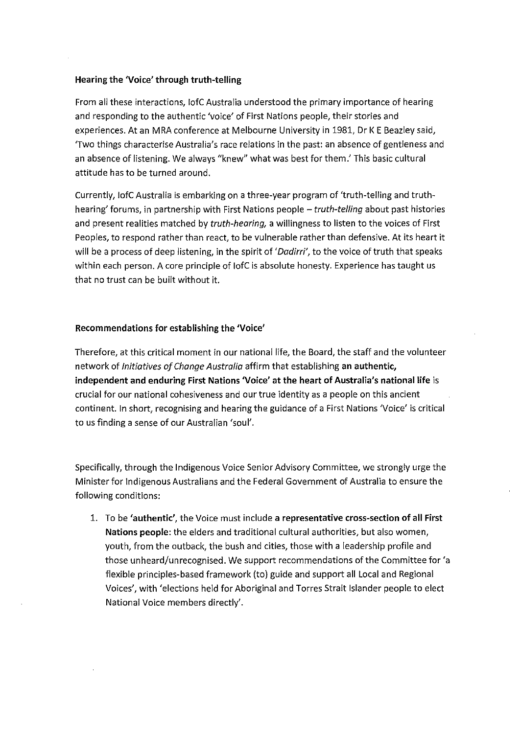## **Hearing the 'Voice' through truth-telling**

From all these interactions, lofC Australia understood the primary importance of hearing and responding to the authentic 'voice' of First Nations people, their stories and experiences. At an MRA conference at Melbourne University in 1981, Dr K E Beazley said, 'Two things characterise Australia's race relations in the past: an absence of gentleness and an absence of listening. We always "knew" what was best for them.' This basic cultural attitude has to be turned around.

Currently, lofC Australia is embarking on a three-year program of 'truth-telling and truthhearing' forums, in partnership with First Nations people - *truth-telling* about past histories and present realities matched by *truth-hearing,* a willingness to listen to the voices of First Peoples, to respond rather than react, to be vulnerable rather than defensive. At its heart it will be a process of deep listening, in the spirit of *'Dadirri',* to the voice of truth that speaks within each person. A core principle of lofC is absolute honesty. Experience has taught us that no trust can be built without it.

## **Recommendations for establishing the 'Voice'**

Therefore, at this critical moment in our national life, the Board, the staff and the volunteer network of *Initiatives ofChange Australia* affirm that establishing **an authentic, independent and enduring First Nations 'Voice' at the heart of Australia's national life** is crucial for our national cohesiveness and our true identity as a people on this ancient continent. In short, recognising and hearing the guidance of a First Nations 'Voice' is critical to us finding a sense of our Australian 'soul'.

Specifically, through the Indigenous Voice Senior Advisory Committee, we strongly urge the Minister for Indigenous Australians and the Federal Government of Australia to ensure the following conditions:

1. To be **'authentic',** the Voice must include **a representative cross-section of all First Nations people:** the elders and traditional cultural authorities, but also women, youth, from the outback, the bush and cities, those with a leadership profile and those unheard/unrecognised. We support recommendations of the Committee for 'a flexible principles-based framework (to) guide and support all Local and Regional Voices', with 'elections held for Aboriginal and Torres Strait Islander people to elect National Voice members directly'.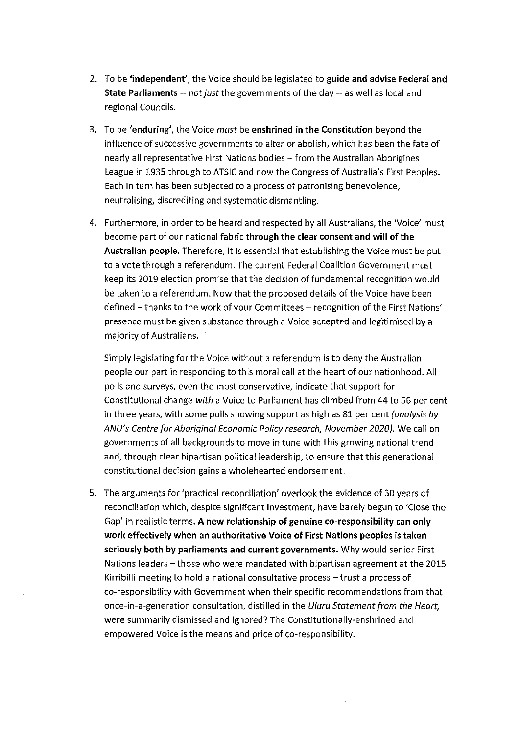- 2. To be **'independent',** the Voice should be legislated to **guide and advise Federal and State Parliaments** *--not just* the governments of the day-- as well as local and regional Councils.
- 3. To be **'enduring',** the Voice *must* be **enshrined in the Constitution** beyond the influence of successive governments to alter or abolish, which has been the fate of nearly all representative First Nations bodies - from the Australian Aborigines League in 1935 through to ATSIC and now the Congress of Australia's First Peoples. Each in turn has been subjected to a process of patronising benevolence, neutralising, discrediting and systematic dismantling.
- 4. Furthermore, in order to be heard and respected by all Australians, the 'Voice' must become part of our national fabric **through the clear consent and will of the Australian people.** Therefore, it is essential that establishing the Voice must be put to a vote through a referendum. The current Federal Coalition Government must keep its 2019 election promise that the decision of fundamental recognition would be taken to a referendum. Now that the proposed details of the Voice have been defined - thanks to the work of your Committees - recognition of the First Nations' presence must be given substance through a Voice accepted and legitimised by a majority of Australians.

Simply legislating for the Voice without a referendum is to deny the Australian people our part in responding to this moral call at the heart of our nationhood. All polls and surveys, even the most conservative, indicate that support for Constitutional change *with* a Voice to Parliament has climbed from 44 to 56 per cent in three years, with some polls showing support as high as 81 per cent *(analysis by ANU's Centre for Aboriginal Economic Policy research, November 2020).* We call on governments of all backgrounds to move in tune with this growing national trend and, through clear bipartisan political leadership, to ensure that this generational constitutional decision gains a wholehearted endorsement.

5. The arguments for 'practical reconciliation' overlook the evidence of 30 years of reconciliation which, despite significant investment, have barely begun to 'Close the Gap' in realistic terms. **A new relationship of genuine co-responsibility can only work effectively when an authoritative Voice of First Nations peoples is taken seriously both by parliaments and current governments.** Why would senior First Nations leaders - those who were mandated with bipartisan agreement at the 2015 Kirribilli meeting to hold a national consultative process-trust a process of co-responsibility with Government when their specific recommendations from that once-in-a-generation consultation, distilled in the *Uluru Statement from the Heart,*  were summarily dismissed and ignored? The Constitutionally-enshrined and empowered Voice is the means and price of co-responsibility.